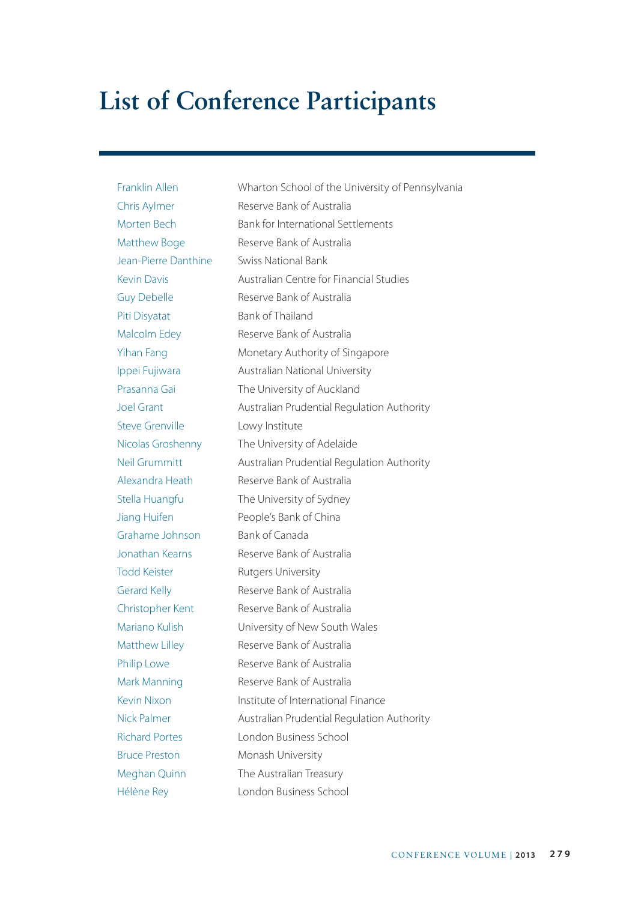## **List of Conference Participants**

Franklin Allen Wharton School of the University of Pennsylvania Chris Aylmer Reserve Bank of Australia Morten Bech Bank for International Settlements Matthew Boge Reserve Bank of Australia Jean-Pierre Danthine Swiss National Bank Kevin Davis Australian Centre for Financial Studies Guy Debelle Reserve Bank of Australia Piti Disyatat Bank of Thailand Malcolm Edey Reserve Bank of Australia Yihan Fang Monetary Authority of Singapore Ippei Fujiwara Australian National University Prasanna Gai The University of Auckland Joel Grant **Australian Prudential Regulation Authority** Steve Grenville Lowy Institute Nicolas Groshenny The University of Adelaide Neil Grummitt Australian Prudential Regulation Authority Alexandra Heath Reserve Bank of Australia Stella Huangfu The University of Sydney Jiang Huifen People's Bank of China Grahame Johnson Bank of Canada Jonathan Kearns Reserve Bank of Australia Todd Keister **Rutgers University** Gerard Kelly Reserve Bank of Australia Christopher Kent Reserve Bank of Australia Mariano Kulish University of New South Wales Matthew Lilley Reserve Bank of Australia Philip Lowe Reserve Bank of Australia Mark Manning Reserve Bank of Australia Kevin Nixon Institute of International Finance Nick Palmer Australian Prudential Regulation Authority Richard Portes London Business School Bruce Preston Monash University Meghan Quinn The Australian Treasury Hélène Rey London Business School